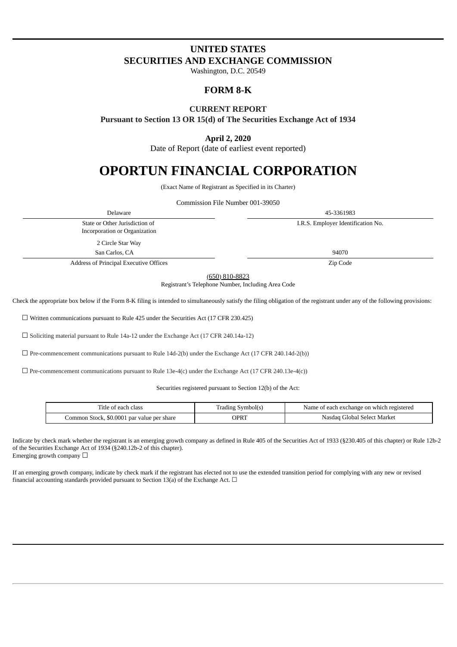# **UNITED STATES SECURITIES AND EXCHANGE COMMISSION**

Washington, D.C. 20549

# **FORM 8-K**

# **CURRENT REPORT**

**Pursuant to Section 13 OR 15(d) of The Securities Exchange Act of 1934**

# **April 2, 2020**

Date of Report (date of earliest event reported)

# **OPORTUN FINANCIAL CORPORATION**

(Exact Name of Registrant as Specified in its Charter)

Commission File Number 001-39050

Delaware 45-3361983 State or Other Jurisdiction of Incorporation or Organization I.R.S. Employer Identification No. 2 Circle Star Way San Carlos, CA 94070 Address of Principal Executive Offices **Zip Code Zip Code** 

(650) 810-8823

Registrant's Telephone Number, Including Area Code

Check the appropriate box below if the Form 8-K filing is intended to simultaneously satisfy the filing obligation of the registrant under any of the following provisions:

☐ Written communications pursuant to Rule 425 under the Securities Act (17 CFR 230.425)

☐ Soliciting material pursuant to Rule 14a-12 under the Exchange Act (17 CFR 240.14a-12)

 $\Box$  Pre-commencement communications pursuant to Rule 14d-2(b) under the Exchange Act (17 CFR 240.14d-2(b))

 $\Box$  Pre-commencement communications pursuant to Rule 13e-4(c) under the Exchange Act (17 CFR 240.13e-4(c))

Securities registered pursuant to Section 12(b) of the Act:

| Title of each class                        | Trading Symbol(s) | Name of each exchange on which registered |
|--------------------------------------------|-------------------|-------------------------------------------|
| Common Stock, \$0.0001 par value per share | OPRT              | Nasdaq Global Select Market               |

Indicate by check mark whether the registrant is an emerging growth company as defined in Rule 405 of the Securities Act of 1933 (§230.405 of this chapter) or Rule 12b-2 of the Securities Exchange Act of 1934 (§240.12b-2 of this chapter). Emerging growth company  $\Box$ 

If an emerging growth company, indicate by check mark if the registrant has elected not to use the extended transition period for complying with any new or revised financial accounting standards provided pursuant to Section 13(a) of the Exchange Act.  $\Box$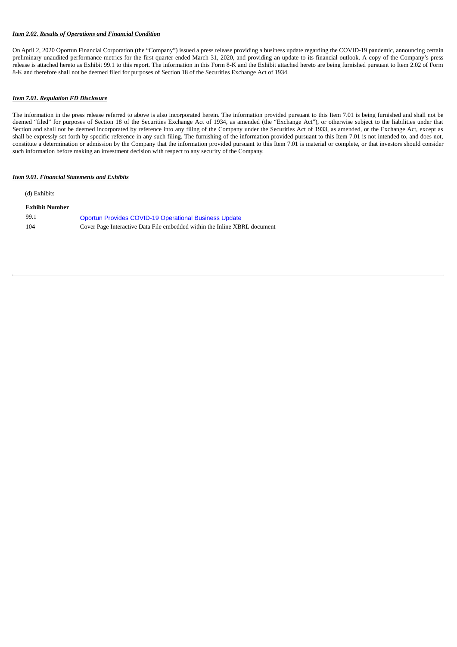#### *Item 2.02. Results of Operations and Financial Condition*

On April 2, 2020 Oportun Financial Corporation (the "Company") issued a press release providing a business update regarding the COVID-19 pandemic, announcing certain preliminary unaudited performance metrics for the first quarter ended March 31, 2020, and providing an update to its financial outlook. A copy of the Company's press release is attached hereto as Exhibit 99.1 to this report. The information in this Form 8-K and the Exhibit attached hereto are being furnished pursuant to Item 2.02 of Form 8-K and therefore shall not be deemed filed for purposes of Section 18 of the Securities Exchange Act of 1934.

## *Item 7.01. Regulation FD Disclosure*

The information in the press release referred to above is also incorporated herein. The information provided pursuant to this Item 7.01 is being furnished and shall not be deemed "filed" for purposes of Section 18 of the Securities Exchange Act of 1934, as amended (the "Exchange Act"), or otherwise subject to the liabilities under that Section and shall not be deemed incorporated by reference into any filing of the Company under the Securities Act of 1933, as amended, or the Exchange Act, except as shall be expressly set forth by specific reference in any such filing. The furnishing of the information provided pursuant to this Item 7.01 is not intended to, and does not, constitute a determination or admission by the Company that the information provided pursuant to this Item 7.01 is material or complete, or that investors should consider such information before making an investment decision with respect to any security of the Company.

### *Item 9.01. Financial Statements and Exhibits*

(d) Exhibits

| <b>Exhibit Number</b> |                                                                           |
|-----------------------|---------------------------------------------------------------------------|
| 99.1                  | Oportun Provides COVID-19 Operational Business Update                     |
| 104                   | Cover Page Interactive Data File embedded within the Inline XBRL document |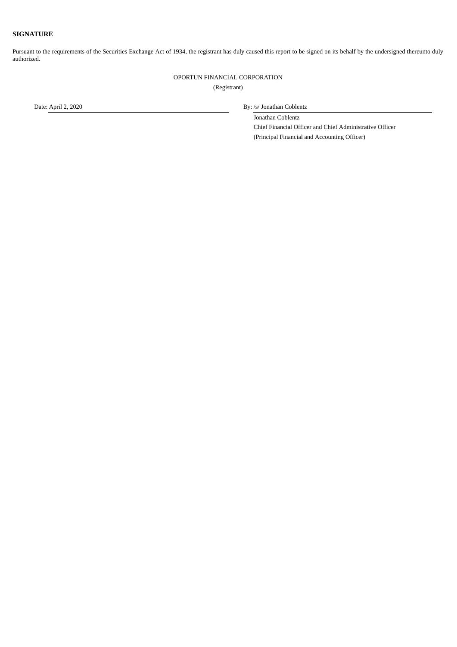## **SIGNATURE**

Pursuant to the requirements of the Securities Exchange Act of 1934, the registrant has duly caused this report to be signed on its behalf by the undersigned thereunto duly authorized.

OPORTUN FINANCIAL CORPORATION

(Registrant)

Date: April 2, 2020 By: /s/ Jonathan Coblentz

Jonathan Coblentz

Chief Financial Officer and Chief Administrative Officer (Principal Financial and Accounting Officer)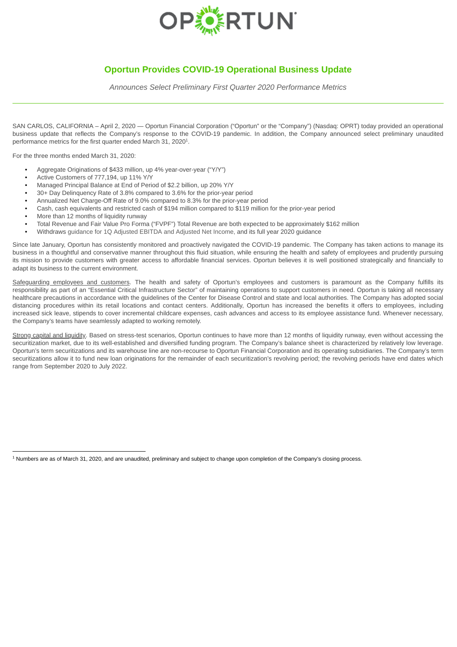

# <span id="page-3-0"></span>**Oportun Provides COVID-19 Operational Business Update**

*Announces Select Preliminary First Quarter 2020 Performance Metrics*

SAN CARLOS, CALIFORNIA – April 2, 2020 — Oportun Financial Corporation ("Oportun" or the "Company") (Nasdaq: OPRT) today provided an operational business update that reflects the Company's response to the COVID-19 pandemic. In addition, the Company announced select preliminary unaudited performance metrics for the first quarter ended March 31, 2020<sup>1</sup>.

For the three months ended March 31, 2020:

- Aggregate Originations of \$433 million, up 4% year-over-year ("Y/Y")
- Active Customers of 777,194, up 11% Y/Y
- Managed Principal Balance at End of Period of \$2.2 billion, up 20% Y/Y
- 30+ Day Delinquency Rate of 3.8% compared to 3.6% for the prior-year period
- Annualized Net Charge-Off Rate of 9.0% compared to 8.3% for the prior-year period
- Cash, cash equivalents and restricted cash of \$194 million compared to \$119 million for the prior-year period
- More than 12 months of liquidity runway
- Total Revenue and Fair Value Pro Forma ("FVPF") Total Revenue are both expected to be approximately \$162 million
- Withdraws guidance for 1Q Adjusted EBITDA and Adjusted Net Income, and its full year 2020 guidance

Since late January, Oportun has consistently monitored and proactively navigated the COVID-19 pandemic. The Company has taken actions to manage its business in a thoughtful and conservative manner throughout this fluid situation, while ensuring the health and safety of employees and prudently pursuing its mission to provide customers with greater access to affordable financial services. Oportun believes it is well positioned strategically and financially to adapt its business to the current environment.

Safeguarding employees and customers. The health and safety of Oportun's employees and customers is paramount as the Company fulfills its responsibility as part of an "Essential Critical Infrastructure Sector" of maintaining operations to support customers in need. Oportun is taking all necessary healthcare precautions in accordance with the guidelines of the Center for Disease Control and state and local authorities. The Company has adopted social distancing procedures within its retail locations and contact centers. Additionally, Oportun has increased the benefits it offers to employees, including increased sick leave, stipends to cover incremental childcare expenses, cash advances and access to its employee assistance fund. Whenever necessary, the Company's teams have seamlessly adapted to working remotely.

Strong capital and liquidity. Based on stress-test scenarios, Oportun continues to have more than 12 months of liquidity runway, even without accessing the securitization market, due to its well-established and diversified funding program. The Company's balance sheet is characterized by relatively low leverage. Oportun's term securitizations and its warehouse line are non-recourse to Oportun Financial Corporation and its operating subsidiaries. The Company's term securitizations allow it to fund new loan originations for the remainder of each securitization's revolving period; the revolving periods have end dates which range from September 2020 to July 2022.

 $1$  Numbers are as of March 31, 2020, and are unaudited, preliminary and subject to change upon completion of the Company's closing process.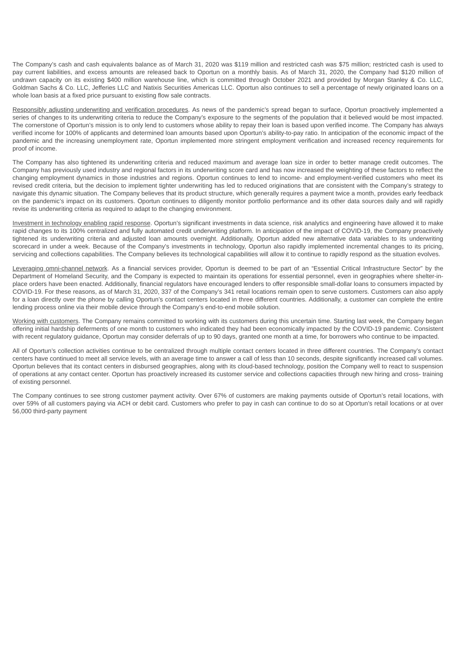The Company's cash and cash equivalents balance as of March 31, 2020 was \$119 million and restricted cash was \$75 million; restricted cash is used to pay current liabilities, and excess amounts are released back to Oportun on a monthly basis. As of March 31, 2020, the Company had \$120 million of undrawn capacity on its existing \$400 million warehouse line, which is committed through October 2021 and provided by Morgan Stanley & Co. LLC, Goldman Sachs & Co. LLC, Jefferies LLC and Natixis Securities Americas LLC. Oportun also continues to sell a percentage of newly originated loans on a whole loan basis at a fixed price pursuant to existing flow sale contracts.

Responsibly adjusting underwriting and verification procedures. As news of the pandemic's spread began to surface, Oportun proactively implemented a series of changes to its underwriting criteria to reduce the Company's exposure to the segments of the population that it believed would be most impacted. The cornerstone of Oportun's mission is to only lend to customers whose ability to repay their loan is based upon verified income. The Company has always verified income for 100% of applicants and determined loan amounts based upon Oportun's ability-to-pay ratio. In anticipation of the economic impact of the pandemic and the increasing unemployment rate, Oportun implemented more stringent employment verification and increased recency requirements for proof of income.

The Company has also tightened its underwriting criteria and reduced maximum and average loan size in order to better manage credit outcomes. The Company has previously used industry and regional factors in its underwriting score card and has now increased the weighting of these factors to reflect the changing employment dynamics in those industries and regions. Oportun continues to lend to income- and employment-verified customers who meet its revised credit criteria, but the decision to implement tighter underwriting has led to reduced originations that are consistent with the Company's strategy to navigate this dynamic situation. The Company believes that its product structure, which generally requires a payment twice a month, provides early feedback on the pandemic's impact on its customers. Oportun continues to diligently monitor portfolio performance and its other data sources daily and will rapidly revise its underwriting criteria as required to adapt to the changing environment.

Investment in technology enabling rapid response. Oportun's significant investments in data science, risk analytics and engineering have allowed it to make rapid changes to its 100% centralized and fully automated credit underwriting platform. In anticipation of the impact of COVID-19, the Company proactively tightened its underwriting criteria and adjusted loan amounts overnight. Additionally, Oportun added new alternative data variables to its underwriting scorecard in under a week. Because of the Company's investments in technology, Oportun also rapidly implemented incremental changes to its pricing, servicing and collections capabilities. The Company believes its technological capabilities will allow it to continue to rapidly respond as the situation evolves.

Leveraging omni-channel network. As a financial services provider, Oportun is deemed to be part of an "Essential Critical Infrastructure Sector" by the Department of Homeland Security, and the Company is expected to maintain its operations for essential personnel, even in geographies where shelter-inplace orders have been enacted. Additionally, financial regulators have encouraged lenders to offer responsible small-dollar loans to consumers impacted by COVID-19. For these reasons, as of March 31, 2020, 337 of the Company's 341 retail locations remain open to serve customers. Customers can also apply for a loan directly over the phone by calling Oportun's contact centers located in three different countries. Additionally, a customer can complete the entire lending process online via their mobile device through the Company's end-to-end mobile solution.

Working with customers. The Company remains committed to working with its customers during this uncertain time. Starting last week, the Company began offering initial hardship deferments of one month to customers who indicated they had been economically impacted by the COVID-19 pandemic. Consistent with recent regulatory guidance, Oportun may consider deferrals of up to 90 days, granted one month at a time, for borrowers who continue to be impacted.

All of Oportun's collection activities continue to be centralized through multiple contact centers located in three different countries. The Company's contact centers have continued to meet all service levels, with an average time to answer a call of less than 10 seconds, despite significantly increased call volumes. Oportun believes that its contact centers in disbursed geographies, along with its cloud-based technology, position the Company well to react to suspension of operations at any contact center. Oportun has proactively increased its customer service and collections capacities through new hiring and cross- training of existing personnel.

The Company continues to see strong customer payment activity. Over 67% of customers are making payments outside of Oportun's retail locations, with over 59% of all customers paying via ACH or debit card. Customers who prefer to pay in cash can continue to do so at Oportun's retail locations or at over 56,000 third-party payment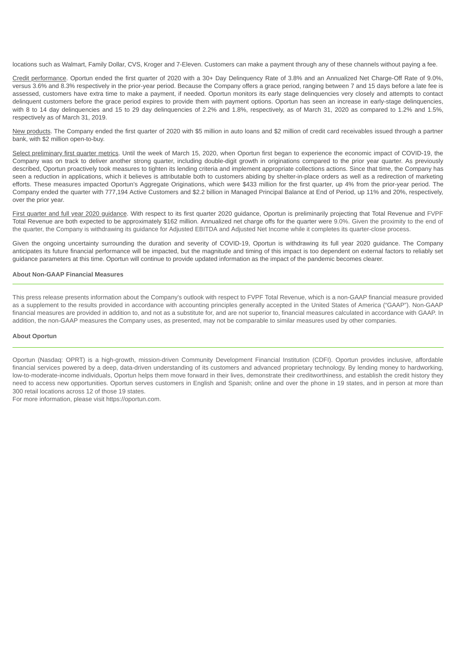locations such as Walmart, Family Dollar, CVS, Kroger and 7-Eleven. Customers can make a payment through any of these channels without paying a fee.

Credit performance. Oportun ended the first quarter of 2020 with a 30+ Day Delinquency Rate of 3.8% and an Annualized Net Charge-Off Rate of 9.0%, versus 3.6% and 8.3% respectively in the prior-year period. Because the Company offers a grace period, ranging between 7 and 15 days before a late fee is assessed, customers have extra time to make a payment, if needed. Oportun monitors its early stage delinquencies very closely and attempts to contact delinquent customers before the grace period expires to provide them with payment options. Oportun has seen an increase in early-stage delinquencies, with 8 to 14 day delinquencies and 15 to 29 day delinquencies of 2.2% and 1.8%, respectively, as of March 31, 2020 as compared to 1.2% and 1.5%, respectively as of March 31, 2019.

New products. The Company ended the first quarter of 2020 with \$5 million in auto loans and \$2 million of credit card receivables issued through a partner bank, with \$2 million open-to-buy.

Select preliminary first quarter metrics. Until the week of March 15, 2020, when Oportun first began to experience the economic impact of COVID-19, the Company was on track to deliver another strong quarter, including double-digit growth in originations compared to the prior year quarter. As previously described, Oportun proactively took measures to tighten its lending criteria and implement appropriate collections actions. Since that time, the Company has seen a reduction in applications, which it believes is attributable both to customers abiding by shelter-in-place orders as well as a redirection of marketing efforts. These measures impacted Oportun's Aggregate Originations, which were \$433 million for the first quarter, up 4% from the prior-year period. The Company ended the quarter with 777,194 Active Customers and \$2.2 billion in Managed Principal Balance at End of Period, up 11% and 20%, respectively, over the prior year.

First quarter and full year 2020 guidance. With respect to its first quarter 2020 guidance, Oportun is preliminarily projecting that Total Revenue and FVPF Total Revenue are both expected to be approximately \$162 million. Annualized net charge offs for the quarter were 9.0%. Given the proximity to the end of the quarter, the Company is withdrawing its guidance for Adjusted EBITDA and Adjusted Net Income while it completes its quarter-close process.

Given the ongoing uncertainty surrounding the duration and severity of COVID-19, Oportun is withdrawing its full year 2020 guidance. The Company anticipates its future financial performance will be impacted, but the magnitude and timing of this impact is too dependent on external factors to reliably set guidance parameters at this time. Oportun will continue to provide updated information as the impact of the pandemic becomes clearer.

## **About Non-GAAP Financial Measures**

This press release presents information about the Company's outlook with respect to FVPF Total Revenue, which is a non-GAAP financial measure provided as a supplement to the results provided in accordance with accounting principles generally accepted in the United States of America ("GAAP"). Non-GAAP financial measures are provided in addition to, and not as a substitute for, and are not superior to, financial measures calculated in accordance with GAAP. In addition, the non-GAAP measures the Company uses, as presented, may not be comparable to similar measures used by other companies.

#### **About Oportun**

Oportun (Nasdaq: OPRT) is a high-growth, mission-driven Community Development Financial Institution (CDFI). Oportun provides inclusive, affordable financial services powered by a deep, data-driven understanding of its customers and advanced proprietary technology. By lending money to hardworking, low-to-moderate-income individuals, Oportun helps them move forward in their lives, demonstrate their creditworthiness, and establish the credit history they need to access new opportunities. Oportun serves customers in English and Spanish; online and over the phone in 19 states, and in person at more than 300 retail locations across 12 of those 19 states.

For more information, please visit https://oportun.com.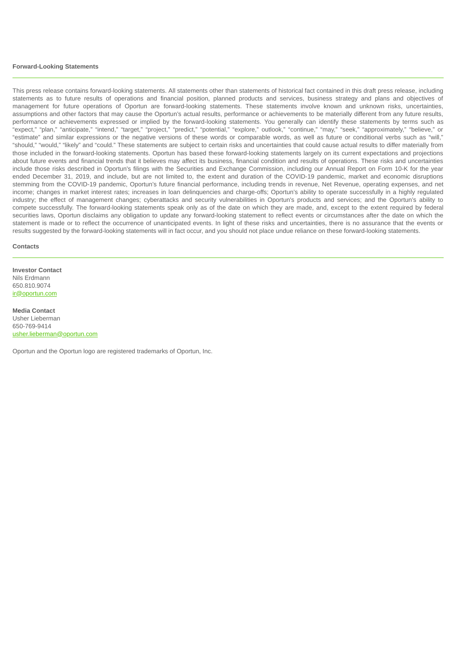#### **Forward-Looking Statements**

This press release contains forward-looking statements. All statements other than statements of historical fact contained in this draft press release, including statements as to future results of operations and financial position, planned products and services, business strategy and plans and objectives of management for future operations of Oportun are forward-looking statements. These statements involve known and unknown risks, uncertainties, assumptions and other factors that may cause the Oportun's actual results, performance or achievements to be materially different from any future results, performance or achievements expressed or implied by the forward-looking statements. You generally can identify these statements by terms such as .<br>"expect," "plan," "anticipate," "intend," "target," "project," "predict," "potential," "explore," outlook," "continue," "may," "seek," "approximately," "believe," or "estimate" and similar expressions or the negative versions of these words or comparable words, as well as future or conditional verbs such as "will," "should," "would," "likely" and "could." These statements are subject to certain risks and uncertainties that could cause actual results to differ materially from those included in the forward-looking statements. Oportun has based these forward-looking statements largely on its current expectations and projections about future events and financial trends that it believes may affect its business, financial condition and results of operations. These risks and uncertainties include those risks described in Oportun's filings with the Securities and Exchange Commission, including our Annual Report on Form 10-K for the year ended December 31, 2019, and include, but are not limited to, the extent and duration of the COVID-19 pandemic, market and economic disruptions stemming from the COVID-19 pandemic, Oportun's future financial performance, including trends in revenue, Net Revenue, operating expenses, and net income; changes in market interest rates; increases in loan delinquencies and charge-offs; Oportun's ability to operate successfully in a highly regulated industry; the effect of management changes; cyberattacks and security vulnerabilities in Oportun's products and services; and the Oportun's ability to compete successfully. The forward-looking statements speak only as of the date on which they are made, and, except to the extent required by federal securities laws, Oportun disclaims any obligation to update any forward-looking statement to reflect events or circumstances after the date on which the statement is made or to reflect the occurrence of unanticipated events. In light of these risks and uncertainties, there is no assurance that the events or results suggested by the forward-looking statements will in fact occur, and you should not place undue reliance on these forward-looking statements.

### **Contacts**

**Investor Contact** Nils Erdmann 650.810.9074 ir@oportun.com

**Media Contact** Usher Lieberman 650-769-9414 usher.lieberman@oportun.com

Oportun and the Oportun logo are registered trademarks of Oportun, Inc.